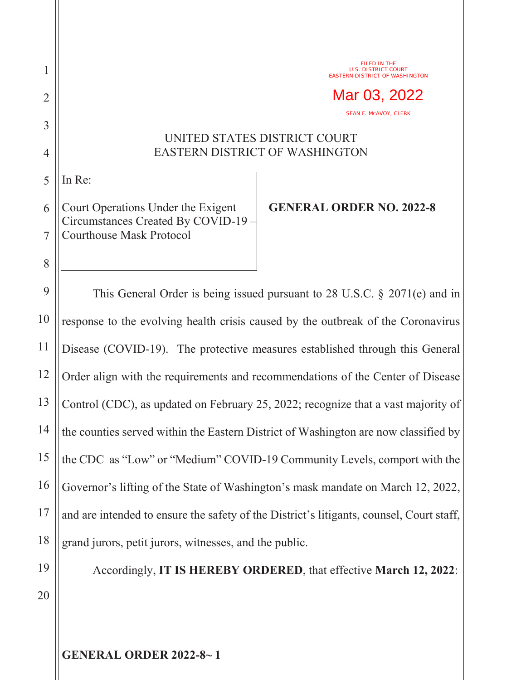## UNITED STATES DISTRICT COURT EASTERN DISTRICT OF WASHINGTON

5 In Re:

1

2

3

4

8

6 7 Court Operations Under the Exigent Circumstances Created By COVID-19 – Courthouse Mask Protocol

## **GENERAL ORDER NO. 2022-8**

FILED IN THE U.S. DISTRICT COURT EASTERN DISTRICT OF WASHINGTON

SEAN F. MCAVOY, CLERK

Mar 03, 2022

9 10 11 12 13 14 15 16 17 18 This General Order is being issued pursuant to 28 U.S.C. § 2071(e) and in response to the evolving health crisis caused by the outbreak of the Coronavirus Disease (COVID-19). The protective measures established through this General Order align with the requirements and recommendations of the Center of Disease Control (CDC), as updated on February 25, 2022; recognize that a vast majority of the counties served within the Eastern District of Washington are now classified by the CDC as "Low" or "Medium" COVID-19 Community Levels, comport with the Governor's lifting of the State of Washington's mask mandate on March 12, 2022, and are intended to ensure the safety of the District's litigants, counsel, Court staff, grand jurors, petit jurors, witnesses, and the public.

19

Accordingly, **IT IS HEREBY ORDERED**, that effective **March 12, 2022**:

20